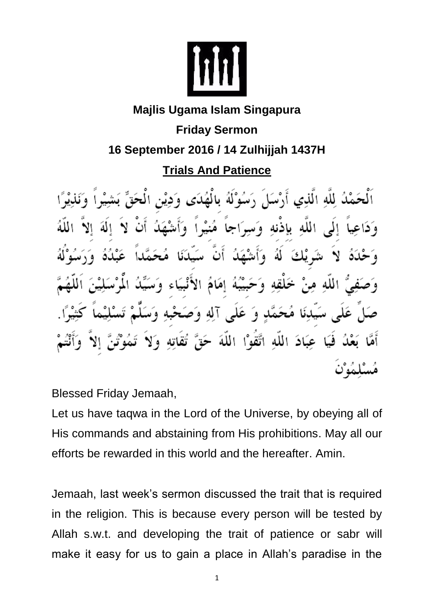

## **Majlis Ugama Islam Singapura Friday Sermon 16 September 2016 / 14 Zulhijjah 1437H Trials And Patience**

ءُ لِلَّهِ الَّذِي أَرْسَلَ دَسُوْلُهُ بِالْهُدَى وَدِيْنِ الْمِحَقِّ وَدَاعِياً إِلَى اللَّهِ بِإِذْنِهِ وَسِرَاجاً مُنيْراً وَأَشْهَدُ á  $\tilde{c}$ بَبَهَ إمَامَ الْإ وَ عَلَى آلِهِ وَصَحْبُهِ وَ فَيَا عِبَادَ اللَّهِ اتَّقَوْا اللَّهَ حَقَّ تقاته و لا

Blessed Friday Jemaah,

Let us have taqwa in the Lord of the Universe, by obeying all of His commands and abstaining from His prohibitions. May all our efforts be rewarded in this world and the hereafter. Amin.

Jemaah, last week's sermon discussed the trait that is required in the religion. This is because every person will be tested by Allah s.w.t. and developing the trait of patience or sabr will make it easy for us to gain a place in Allah's paradise in the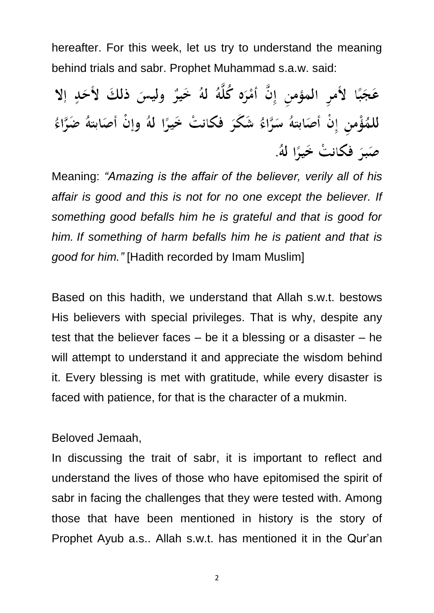hereafter. For this week, let us try to understand the meaning behind trials and sabr. Prophet Muhammad s.a.w. said:

عَجَبًا لأَمرِ المؤمنِ إِنَّ أَمْرَه كُلَّهُ لهُ خَيرٌ وليسَ ذلكَ لأَحَدٍ إلا للمُؤْمنِ إِنْ أَصَابتهُ سَرَّاءُ شَكَرَ فَكانتْ خَيرًا لَهُ وإنْ أَصَابتهُ ضَرَّاءُ صَبَرَ فكانتْ خَيرًا لَهُ.

Meaning: *"Amazing is the affair of the believer, verily all of his affair is good and this is not for no one except the believer. If something good befalls him he is grateful and that is good for him. If something of harm befalls him he is patient and that is good for him."* [Hadith recorded by Imam Muslim]

Based on this hadith, we understand that Allah s.w.t. bestows His believers with special privileges. That is why, despite any test that the believer faces – be it a blessing or a disaster – he will attempt to understand it and appreciate the wisdom behind it. Every blessing is met with gratitude, while every disaster is faced with patience, for that is the character of a mukmin.

Beloved Jemaah,

In discussing the trait of sabr, it is important to reflect and understand the lives of those who have epitomised the spirit of sabr in facing the challenges that they were tested with. Among those that have been mentioned in history is the story of Prophet Ayub a.s.. Allah s.w.t. has mentioned it in the Qur'an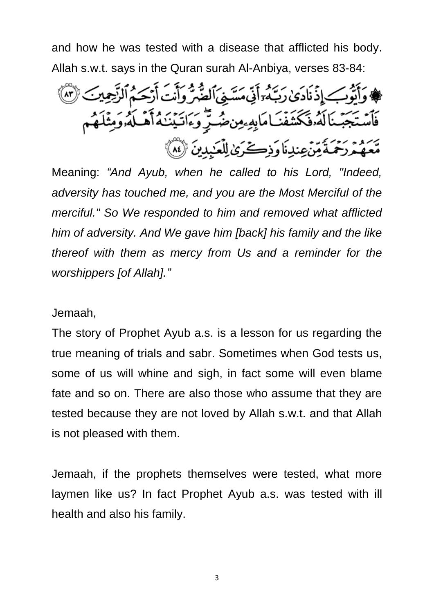and how he was tested with a disease that afflicted his body. Allah s.w.t. says in the Quran surah Al-Anbiya, verses 83-84:

وَأَيُّوبِ إِذْنَادَىٰ رَبَّهُ أَنِّي مَسَّنِيَ ٱلضَّرُّ وَأَنْتَ أَرْحَمُ ٱلزَّحِينَ ۚ (٣) فَأَسۡتَجَبۡنَالَهُۥفَكَشَفۡنَـامَابِهِۦمِنڞۡنِّ وَءَاتَيۡنَـٰهُ أَهۡـلَهُۥوَمِثۡلَـهُم رَحْمَةً مِّنْ عِندِنَا وَذِكَرَىٰ لِلْعَبِدِينَ (لَهُ)

Meaning: *"And Ayub, when he called to his Lord, "Indeed, adversity has touched me, and you are the Most Merciful of the merciful." So We responded to him and removed what afflicted him of adversity. And We gave him [back] his family and the like thereof with them as mercy from Us and a reminder for the worshippers [of Allah]."*

Jemaah,

The story of Prophet Ayub a.s. is a lesson for us regarding the true meaning of trials and sabr. Sometimes when God tests us, some of us will whine and sigh, in fact some will even blame fate and so on. There are also those who assume that they are tested because they are not loved by Allah s.w.t. and that Allah is not pleased with them.

Jemaah, if the prophets themselves were tested, what more laymen like us? In fact Prophet Ayub a.s. was tested with ill health and also his family.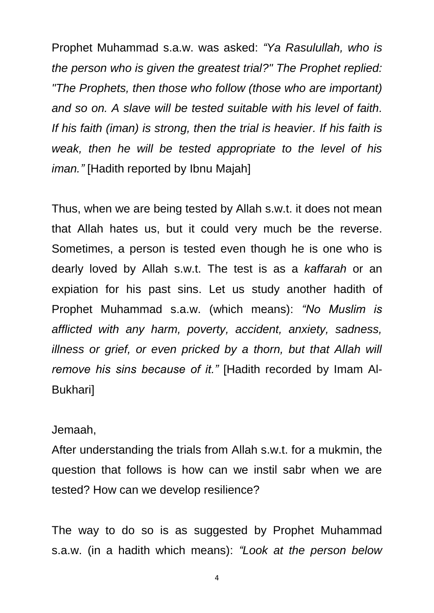Prophet Muhammad s.a.w. was asked: *"Ya Rasulullah, who is the person who is given the greatest trial?" The Prophet replied: "The Prophets, then those who follow (those who are important) and so on. A slave will be tested suitable with his level of faith. If his faith (iman) is strong, then the trial is heavier. If his faith is weak, then he will be tested appropriate to the level of his iman."* [Hadith reported by Ibnu Majah]

Thus, when we are being tested by Allah s.w.t. it does not mean that Allah hates us, but it could very much be the reverse. Sometimes, a person is tested even though he is one who is dearly loved by Allah s.w.t. The test is as a *kaffarah* or an expiation for his past sins. Let us study another hadith of Prophet Muhammad s.a.w. (which means): *"No Muslim is afflicted with any harm, poverty, accident, anxiety, sadness, illness or grief, or even pricked by a thorn, but that Allah will remove his sins because of it."* [Hadith recorded by Imam Al-Bukhari]

## Jemaah,

After understanding the trials from Allah s.w.t. for a mukmin, the question that follows is how can we instil sabr when we are tested? How can we develop resilience?

The way to do so is as suggested by Prophet Muhammad s.a.w. (in a hadith which means): *"Look at the person below*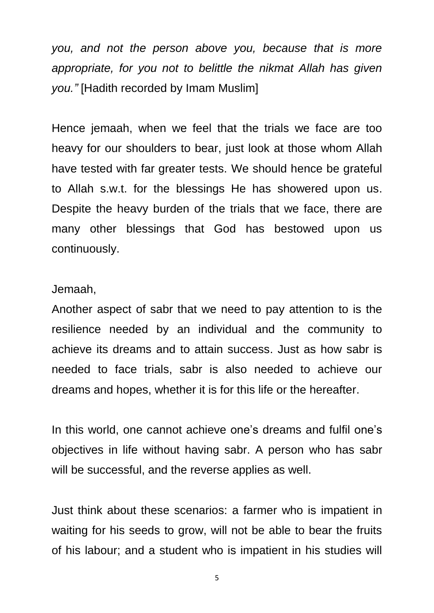*you, and not the person above you, because that is more appropriate, for you not to belittle the nikmat Allah has given you."* [Hadith recorded by Imam Muslim]

Hence jemaah, when we feel that the trials we face are too heavy for our shoulders to bear, just look at those whom Allah have tested with far greater tests. We should hence be grateful to Allah s.w.t. for the blessings He has showered upon us. Despite the heavy burden of the trials that we face, there are many other blessings that God has bestowed upon us continuously.

## Jemaah,

Another aspect of sabr that we need to pay attention to is the resilience needed by an individual and the community to achieve its dreams and to attain success. Just as how sabr is needed to face trials, sabr is also needed to achieve our dreams and hopes, whether it is for this life or the hereafter.

In this world, one cannot achieve one's dreams and fulfil one's objectives in life without having sabr. A person who has sabr will be successful, and the reverse applies as well.

Just think about these scenarios: a farmer who is impatient in waiting for his seeds to grow, will not be able to bear the fruits of his labour; and a student who is impatient in his studies will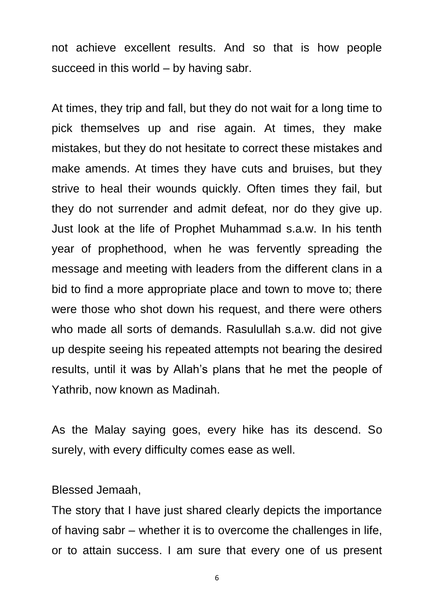not achieve excellent results. And so that is how people succeed in this world – by having sabr.

At times, they trip and fall, but they do not wait for a long time to pick themselves up and rise again. At times, they make mistakes, but they do not hesitate to correct these mistakes and make amends. At times they have cuts and bruises, but they strive to heal their wounds quickly. Often times they fail, but they do not surrender and admit defeat, nor do they give up. Just look at the life of Prophet Muhammad s.a.w. In his tenth year of prophethood, when he was fervently spreading the message and meeting with leaders from the different clans in a bid to find a more appropriate place and town to move to; there were those who shot down his request, and there were others who made all sorts of demands. Rasulullah s.a.w. did not give up despite seeing his repeated attempts not bearing the desired results, until it was by Allah's plans that he met the people of Yathrib, now known as Madinah.

As the Malay saying goes, every hike has its descend. So surely, with every difficulty comes ease as well.

Blessed Jemaah,

The story that I have just shared clearly depicts the importance of having sabr – whether it is to overcome the challenges in life, or to attain success. I am sure that every one of us present